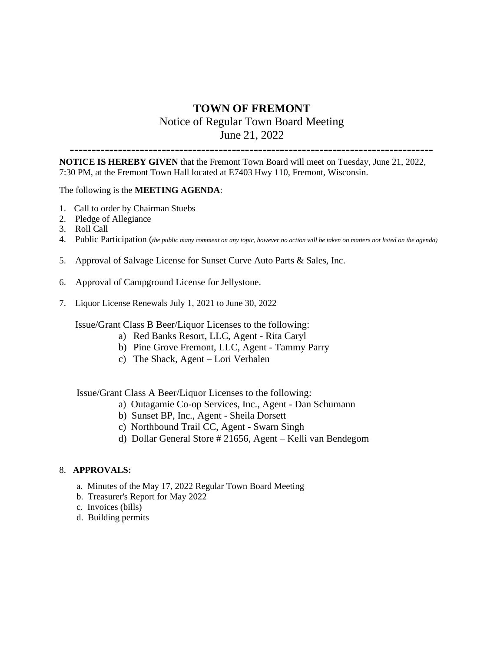# **TOWN OF FREMONT** Notice of Regular Town Board Meeting June 21, 2022

-----------------------------------------------------------------------------------

**NOTICE IS HEREBY GIVEN** that the Fremont Town Board will meet on Tuesday, June 21, 2022, 7:30 PM, at the Fremont Town Hall located at E7403 Hwy 110, Fremont, Wisconsin.

## The following is the **MEETING AGENDA**:

- 1. Call to order by Chairman Stuebs
- 2. Pledge of Allegiance
- 3. Roll Call
- 4. Public Participation (*the public many comment on any topic, however no action will be taken on matters not listed on the agenda)*
- 5. Approval of Salvage License for Sunset Curve Auto Parts & Sales, Inc.
- 6. Approval of Campground License for Jellystone.
- 7. Liquor License Renewals July 1, 2021 to June 30, 2022

Issue/Grant Class B Beer/Liquor Licenses to the following:

- a) Red Banks Resort, LLC, Agent Rita Caryl
- b) Pine Grove Fremont, LLC, Agent Tammy Parry
- c) The Shack, Agent Lori Verhalen

# Issue/Grant Class A Beer/Liquor Licenses to the following:

- a) Outagamie Co-op Services, Inc., Agent Dan Schumann
	- b) Sunset BP, Inc., Agent Sheila Dorsett
	- c) Northbound Trail CC, Agent Swarn Singh
	- d) Dollar General Store # 21656, Agent Kelli van Bendegom

#### 8. **APPROVALS:**

- a. Minutes of the May 17, 2022 Regular Town Board Meeting
- b. Treasurer's Report for May 2022
- c. Invoices (bills)
- d. Building permits